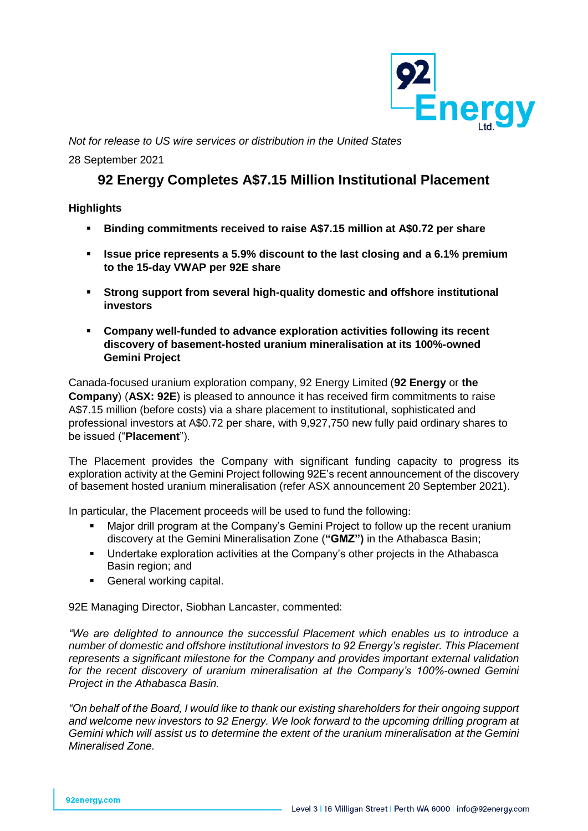

*Not for release to US wire services or distribution in the United States*

28 September 2021

# **92 Energy Completes A\$7.15 Million Institutional Placement**

# **Highlights**

- **Binding commitments received to raise A\$7.15 million at A\$0.72 per share**
- **Issue price represents a 5.9% discount to the last closing and a 6.1% premium to the 15-day VWAP per 92E share**
- **Strong support from several high-quality domestic and offshore institutional investors**
- **Company well-funded to advance exploration activities following its recent discovery of basement-hosted uranium mineralisation at its 100%-owned Gemini Project**

Canada-focused uranium exploration company, 92 Energy Limited (**92 Energy** or **the Company**) (**ASX: 92E**) is pleased to announce it has received firm commitments to raise A\$7.15 million (before costs) via a share placement to institutional, sophisticated and professional investors at A\$0.72 per share, with 9,927,750 new fully paid ordinary shares to be issued ("**Placement**").

The Placement provides the Company with significant funding capacity to progress its exploration activity at the Gemini Project following 92E's recent announcement of the discovery of basement hosted uranium mineralisation (refer ASX announcement 20 September 2021).

In particular, the Placement proceeds will be used to fund the following:

- Major drill program at the Company's Gemini Project to follow up the recent uranium discovery at the Gemini Mineralisation Zone (**"GMZ")** in the Athabasca Basin;
- Undertake exploration activities at the Company's other projects in the Athabasca Basin region; and
- **•** General working capital.

92E Managing Director, Siobhan Lancaster, commented:

*"We are delighted to announce the successful Placement which enables us to introduce a number of domestic and offshore institutional investors to 92 Energy's register. This Placement represents a significant milestone for the Company and provides important external validation for the recent discovery of uranium mineralisation at the Company's 100%-owned Gemini Project in the Athabasca Basin.*

*"On behalf of the Board, I would like to thank our existing shareholders for their ongoing support and welcome new investors to 92 Energy. We look forward to the upcoming drilling program at Gemini which will assist us to determine the extent of the uranium mineralisation at the Gemini Mineralised Zone.*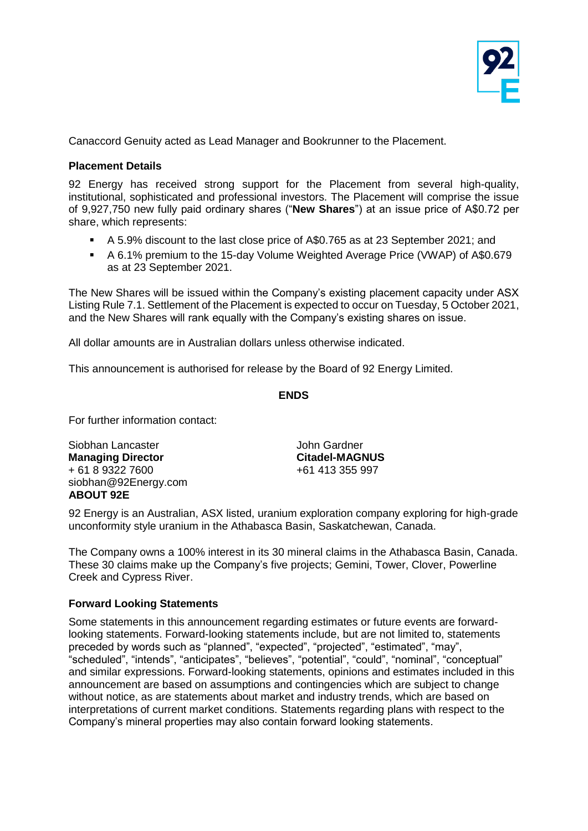

Canaccord Genuity acted as Lead Manager and Bookrunner to the Placement.

### **Placement Details**

92 Energy has received strong support for the Placement from several high-quality, institutional, sophisticated and professional investors. The Placement will comprise the issue of 9,927,750 new fully paid ordinary shares ("**New Shares**") at an issue price of A\$0.72 per share, which represents:

- A 5.9% discount to the last close price of A\$0.765 as at 23 September 2021; and
- A 6.1% premium to the 15-day Volume Weighted Average Price (VWAP) of A\$0.679 as at 23 September 2021.

The New Shares will be issued within the Company's existing placement capacity under ASX Listing Rule 7.1. Settlement of the Placement is expected to occur on Tuesday, 5 October 2021, and the New Shares will rank equally with the Company's existing shares on issue.

All dollar amounts are in Australian dollars unless otherwise indicated.

This announcement is authorised for release by the Board of 92 Energy Limited.

## **ENDS**

For further information contact:

Siobhan Lancaster **Managing Director** + 61 8 9322 7600 siobhan@92Energy.com **ABOUT 92E**

John Gardner **Citadel-MAGNUS**  +61 413 355 997

92 Energy is an Australian, ASX listed, uranium exploration company exploring for high-grade unconformity style uranium in the Athabasca Basin, Saskatchewan, Canada.

The Company owns a 100% interest in its 30 mineral claims in the Athabasca Basin, Canada. These 30 claims make up the Company's five projects; Gemini, Tower, Clover, Powerline Creek and Cypress River.

#### **Forward Looking Statements**

Some statements in this announcement regarding estimates or future events are forwardlooking statements. Forward-looking statements include, but are not limited to, statements preceded by words such as "planned", "expected", "projected", "estimated", "may", "scheduled", "intends", "anticipates", "believes", "potential", "could", "nominal", "conceptual" and similar expressions. Forward-looking statements, opinions and estimates included in this announcement are based on assumptions and contingencies which are subject to change without notice, as are statements about market and industry trends, which are based on interpretations of current market conditions. Statements regarding plans with respect to the Company's mineral properties may also contain forward looking statements.